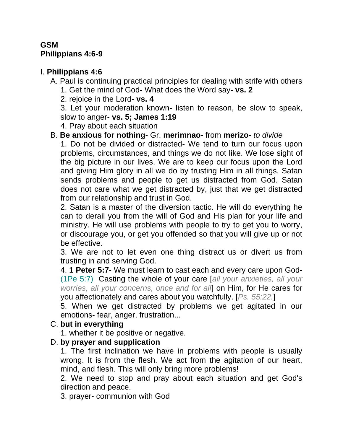# **GSM Philippians 4:6-9**

# I. **Philippians 4:6**

A. Paul is continuing practical principles for dealing with strife with others 1. Get the mind of God- What does the Word say- **vs. 2**

2. rejoice in the Lord- **vs. 4**

3. Let your moderation known- listen to reason, be slow to speak, slow to anger- **vs. 5; James 1:19**

4. Pray about each situation

# B. **Be anxious for nothing**- Gr. **merimnao**- from **merizo**- *to divide*

1. Do not be divided or distracted- We tend to turn our focus upon problems, circumstances, and things we do not like. We lose sight of the big picture in our lives. We are to keep our focus upon the Lord and giving Him glory in all we do by trusting Him in all things. Satan sends problems and people to get us distracted from God. Satan does not care what we get distracted by, just that we get distracted from our relationship and trust in God.

2. Satan is a master of the diversion tactic. He will do everything he can to derail you from the will of God and His plan for your life and ministry. He will use problems with people to try to get you to worry, or discourage you, or get you offended so that you will give up or not be effective.

3. We are not to let even one thing distract us or divert us from trusting in and serving God.

4. **1 Peter 5:7**- We must learn to cast each and every care upon God- (1Pe 5:7) Casting the whole of your care [*all your anxieties, all your worries, all your concerns, once and for all*] on Him, for He cares for you affectionately and cares about you watchfully. [*Ps. 55:22.*]

5. When we get distracted by problems we get agitated in our emotions- fear, anger, frustration...

# C. **but in everything**

1. whether it be positive or negative.

# D. **by prayer and supplication**

1. The first inclination we have in problems with people is usually wrong. It is from the flesh. We act from the agitation of our heart, mind, and flesh. This will only bring more problems!

2. We need to stop and pray about each situation and get God's direction and peace.

3. prayer- communion with God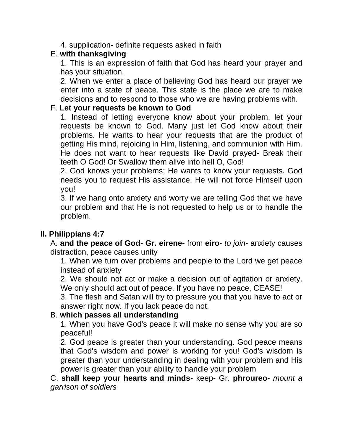4. supplication- definite requests asked in faith

# E. **with thanksgiving**

1. This is an expression of faith that God has heard your prayer and has your situation.

2. When we enter a place of believing God has heard our prayer we enter into a state of peace. This state is the place we are to make decisions and to respond to those who we are having problems with.

#### F. **Let your requests be known to God**

1. Instead of letting everyone know about your problem, let your requests be known to God. Many just let God know about their problems. He wants to hear your requests that are the product of getting His mind, rejoicing in Him, listening, and communion with Him. He does not want to hear requests like David prayed- Break their teeth O God! Or Swallow them alive into hell O, God!

2. God knows your problems; He wants to know your requests. God needs you to request His assistance. He will not force Himself upon you!

3. If we hang onto anxiety and worry we are telling God that we have our problem and that He is not requested to help us or to handle the problem.

# **II. Philippians 4:7**

A. **and the peace of God- Gr. eirene-** from **eiro**- *to join*- anxiety causes distraction, peace causes unity

1. When we turn over problems and people to the Lord we get peace instead of anxiety

2. We should not act or make a decision out of agitation or anxiety. We only should act out of peace. If you have no peace, CEASE!

3. The flesh and Satan will try to pressure you that you have to act or answer right now. If you lack peace do not.

# B. **which passes all understanding**

1. When you have God's peace it will make no sense why you are so peaceful!

2. God peace is greater than your understanding. God peace means that God's wisdom and power is working for you! God's wisdom is greater than your understanding in dealing with your problem and His power is greater than your ability to handle your problem

C. **shall keep your hearts and minds**- keep- Gr. **phroureo**- *mount a garrison of soldiers*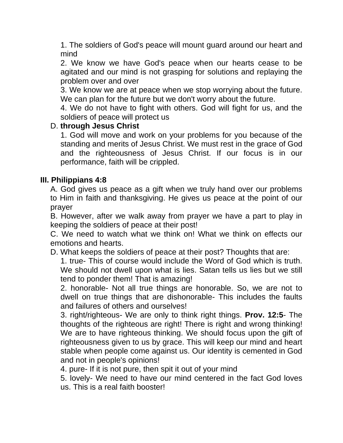1. The soldiers of God's peace will mount guard around our heart and mind

2. We know we have God's peace when our hearts cease to be agitated and our mind is not grasping for solutions and replaying the problem over and over

3. We know we are at peace when we stop worrying about the future. We can plan for the future but we don't worry about the future.

4. We do not have to fight with others. God will fight for us, and the soldiers of peace will protect us

#### D. **through Jesus Christ**

1. God will move and work on your problems for you because of the standing and merits of Jesus Christ. We must rest in the grace of God and the righteousness of Jesus Christ. If our focus is in our performance, faith will be crippled.

#### **III. Philippians 4:8**

A. God gives us peace as a gift when we truly hand over our problems to Him in faith and thanksgiving. He gives us peace at the point of our prayer

B. However, after we walk away from prayer we have a part to play in keeping the soldiers of peace at their post!

C. We need to watch what we think on! What we think on effects our emotions and hearts.

D. What keeps the soldiers of peace at their post? Thoughts that are:

1. true- This of course would include the Word of God which is truth. We should not dwell upon what is lies. Satan tells us lies but we still tend to ponder them! That is amazing!

2. honorable- Not all true things are honorable. So, we are not to dwell on true things that are dishonorable- This includes the faults and failures of others and ourselves!

3. right/righteous- We are only to think right things. **Prov. 12:5**- The thoughts of the righteous are right! There is right and wrong thinking! We are to have righteous thinking. We should focus upon the gift of righteousness given to us by grace. This will keep our mind and heart stable when people come against us. Our identity is cemented in God and not in people's opinions!

4. pure- If it is not pure, then spit it out of your mind

5. lovely- We need to have our mind centered in the fact God loves us. This is a real faith booster!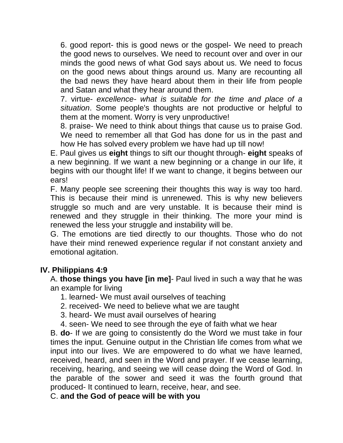6. good report- this is good news or the gospel- We need to preach the good news to ourselves. We need to recount over and over in our minds the good news of what God says about us. We need to focus on the good news about things around us. Many are recounting all the bad news they have heard about them in their life from people and Satan and what they hear around them.

7. virtue- *excellence- what is suitable for the time and place of a situation*. Some people's thoughts are not productive or helpful to them at the moment. Worry is very unproductive!

8. praise- We need to think about things that cause us to praise God. We need to remember all that God has done for us in the past and how He has solved every problem we have had up till now!

E. Paul gives us **eight** things to sift our thought through- **eight** speaks of a new beginning. If we want a new beginning or a change in our life, it begins with our thought life! If we want to change, it begins between our ears!

F. Many people see screening their thoughts this way is way too hard. This is because their mind is unrenewed. This is why new believers struggle so much and are very unstable. It is because their mind is renewed and they struggle in their thinking. The more your mind is renewed the less your struggle and instability will be.

G. The emotions are tied directly to our thoughts. Those who do not have their mind renewed experience regular if not constant anxiety and emotional agitation.

# **IV. Philippians 4:9**

A. **those things you have [in me]**- Paul lived in such a way that he was an example for living

1. learned- We must avail ourselves of teaching

- 2. received- We need to believe what we are taught
- 3. heard- We must avail ourselves of hearing
- 4. seen- We need to see through the eye of faith what we hear

B. **do**- If we are going to consistently do the Word we must take in four times the input. Genuine output in the Christian life comes from what we input into our lives. We are empowered to do what we have learned, received, heard, and seen in the Word and prayer. If we cease learning, receiving, hearing, and seeing we will cease doing the Word of God. In the parable of the sower and seed it was the fourth ground that produced- It continued to learn, receive, hear, and see.

C. **and the God of peace will be with you**